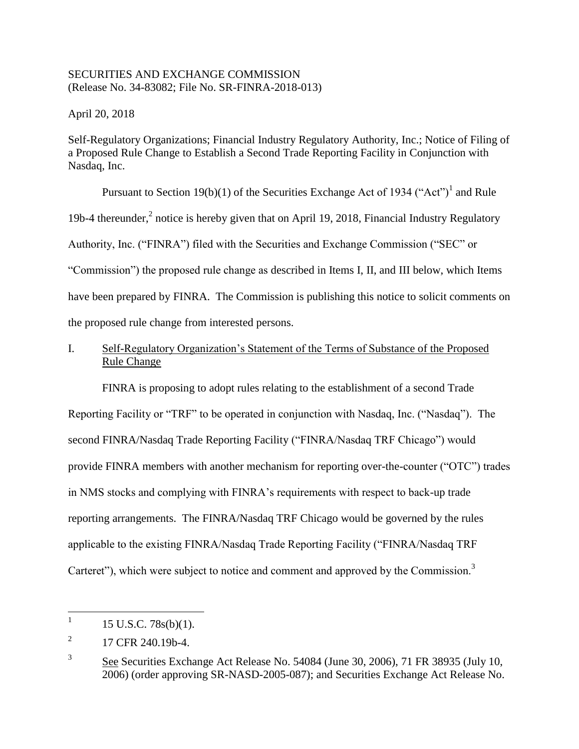## SECURITIES AND EXCHANGE COMMISSION (Release No. 34-83082; File No. SR-FINRA-2018-013)

April 20, 2018

Self-Regulatory Organizations; Financial Industry Regulatory Authority, Inc.; Notice of Filing of a Proposed Rule Change to Establish a Second Trade Reporting Facility in Conjunction with Nasdaq, Inc.

Pursuant to Section 19(b)(1) of the Securities Exchange Act of 1934 ("Act")<sup>1</sup> and Rule 19b-4 thereunder, $<sup>2</sup>$  notice is hereby given that on April 19, 2018, Financial Industry Regulatory</sup> Authority, Inc. ("FINRA") filed with the Securities and Exchange Commission ("SEC" or "Commission") the proposed rule change as described in Items I, II, and III below, which Items have been prepared by FINRA. The Commission is publishing this notice to solicit comments on the proposed rule change from interested persons.

# I. Self-Regulatory Organization's Statement of the Terms of Substance of the Proposed Rule Change

FINRA is proposing to adopt rules relating to the establishment of a second Trade Reporting Facility or "TRF" to be operated in conjunction with Nasdaq, Inc. ("Nasdaq"). The second FINRA/Nasdaq Trade Reporting Facility ("FINRA/Nasdaq TRF Chicago") would provide FINRA members with another mechanism for reporting over-the-counter ("OTC") trades in NMS stocks and complying with FINRA's requirements with respect to back-up trade reporting arrangements. The FINRA/Nasdaq TRF Chicago would be governed by the rules applicable to the existing FINRA/Nasdaq Trade Reporting Facility ("FINRA/Nasdaq TRF Carteret"), which were subject to notice and comment and approved by the Commission.<sup>3</sup>

 $\frac{1}{1}$ 15 U.S.C. 78s(b)(1).

<sup>2</sup> 17 CFR 240.19b-4.

<sup>3</sup> See Securities Exchange Act Release No. 54084 (June 30, 2006), 71 FR 38935 (July 10, 2006) (order approving SR-NASD-2005-087); and Securities Exchange Act Release No.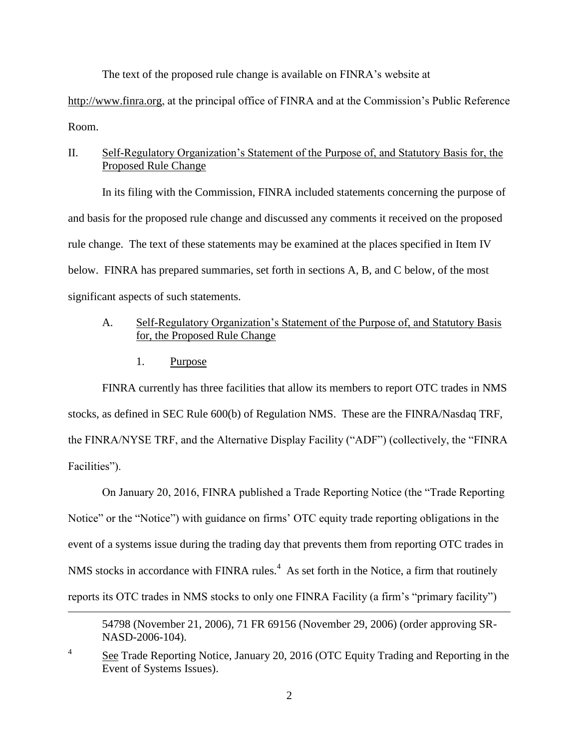The text of the proposed rule change is available on FINRA's website at

http://www.finra.org, at the principal office of FINRA and at the Commission's Public Reference Room.

## II. Self-Regulatory Organization's Statement of the Purpose of, and Statutory Basis for, the Proposed Rule Change

In its filing with the Commission, FINRA included statements concerning the purpose of and basis for the proposed rule change and discussed any comments it received on the proposed rule change. The text of these statements may be examined at the places specified in Item IV below. FINRA has prepared summaries, set forth in sections A, B, and C below, of the most significant aspects of such statements.

## A. Self-Regulatory Organization's Statement of the Purpose of, and Statutory Basis for, the Proposed Rule Change

1. Purpose

 $\overline{a}$ 

FINRA currently has three facilities that allow its members to report OTC trades in NMS stocks, as defined in SEC Rule 600(b) of Regulation NMS. These are the FINRA/Nasdaq TRF, the FINRA/NYSE TRF, and the Alternative Display Facility ("ADF") (collectively, the "FINRA Facilities").

On January 20, 2016, FINRA published a Trade Reporting Notice (the "Trade Reporting Notice" or the "Notice") with guidance on firms' OTC equity trade reporting obligations in the event of a systems issue during the trading day that prevents them from reporting OTC trades in NMS stocks in accordance with FINRA rules.<sup>4</sup> As set forth in the Notice, a firm that routinely reports its OTC trades in NMS stocks to only one FINRA Facility (a firm's "primary facility")

<sup>54798 (</sup>November 21, 2006), 71 FR 69156 (November 29, 2006) (order approving SR-NASD-2006-104).

<sup>4</sup> See Trade Reporting Notice, January 20, 2016 (OTC Equity Trading and Reporting in the Event of Systems Issues).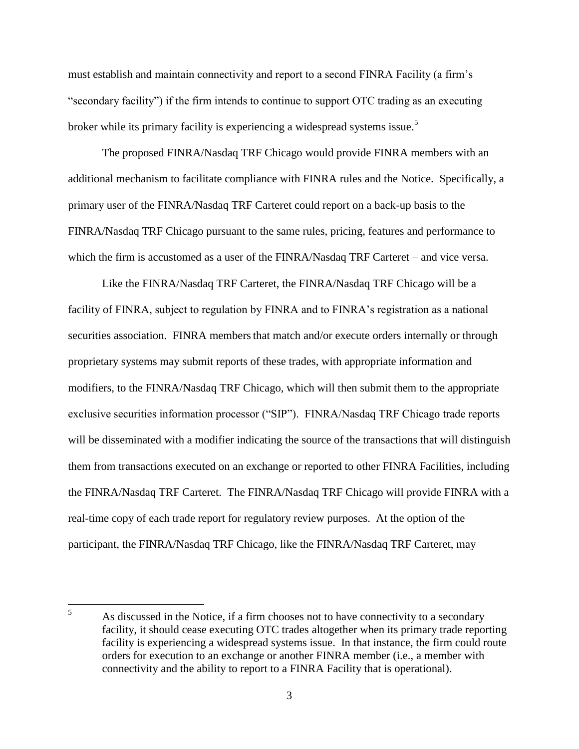must establish and maintain connectivity and report to a second FINRA Facility (a firm's "secondary facility") if the firm intends to continue to support OTC trading as an executing broker while its primary facility is experiencing a widespread systems issue.<sup>5</sup>

The proposed FINRA/Nasdaq TRF Chicago would provide FINRA members with an additional mechanism to facilitate compliance with FINRA rules and the Notice. Specifically, a primary user of the FINRA/Nasdaq TRF Carteret could report on a back-up basis to the FINRA/Nasdaq TRF Chicago pursuant to the same rules, pricing, features and performance to which the firm is accustomed as a user of the FINRA/Nasdaq TRF Carteret – and vice versa.

Like the FINRA/Nasdaq TRF Carteret, the FINRA/Nasdaq TRF Chicago will be a facility of FINRA, subject to regulation by FINRA and to FINRA's registration as a national securities association. FINRA members that match and/or execute orders internally or through proprietary systems may submit reports of these trades, with appropriate information and modifiers, to the FINRA/Nasdaq TRF Chicago, which will then submit them to the appropriate exclusive securities information processor ("SIP"). FINRA/Nasdaq TRF Chicago trade reports will be disseminated with a modifier indicating the source of the transactions that will distinguish them from transactions executed on an exchange or reported to other FINRA Facilities, including the FINRA/Nasdaq TRF Carteret. The FINRA/Nasdaq TRF Chicago will provide FINRA with a real-time copy of each trade report for regulatory review purposes. At the option of the participant, the FINRA/Nasdaq TRF Chicago, like the FINRA/Nasdaq TRF Carteret, may

 $\overline{5}$ As discussed in the Notice, if a firm chooses not to have connectivity to a secondary facility, it should cease executing OTC trades altogether when its primary trade reporting facility is experiencing a widespread systems issue. In that instance, the firm could route orders for execution to an exchange or another FINRA member (i.e., a member with connectivity and the ability to report to a FINRA Facility that is operational).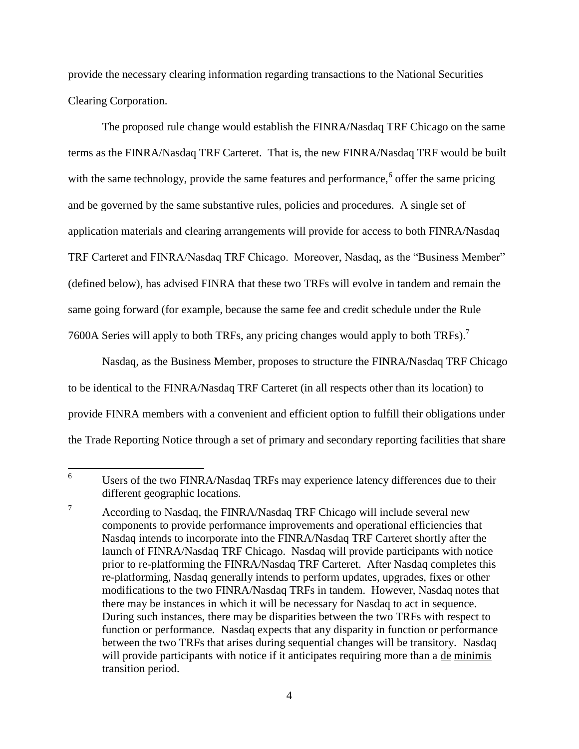provide the necessary clearing information regarding transactions to the National Securities Clearing Corporation.

The proposed rule change would establish the FINRA/Nasdaq TRF Chicago on the same terms as the FINRA/Nasdaq TRF Carteret. That is, the new FINRA/Nasdaq TRF would be built with the same technology, provide the same features and performance,<sup>6</sup> offer the same pricing and be governed by the same substantive rules, policies and procedures. A single set of application materials and clearing arrangements will provide for access to both FINRA/Nasdaq TRF Carteret and FINRA/Nasdaq TRF Chicago. Moreover, Nasdaq, as the "Business Member" (defined below), has advised FINRA that these two TRFs will evolve in tandem and remain the same going forward (for example, because the same fee and credit schedule under the Rule 7600A Series will apply to both TRFs, any pricing changes would apply to both TRFs).<sup>7</sup>

Nasdaq, as the Business Member, proposes to structure the FINRA/Nasdaq TRF Chicago to be identical to the FINRA/Nasdaq TRF Carteret (in all respects other than its location) to provide FINRA members with a convenient and efficient option to fulfill their obligations under the Trade Reporting Notice through a set of primary and secondary reporting facilities that share

<sup>6</sup> Users of the two FINRA/Nasdaq TRFs may experience latency differences due to their different geographic locations.

<sup>&</sup>lt;sup>7</sup> According to Nasdaq, the FINRA/Nasdaq TRF Chicago will include several new components to provide performance improvements and operational efficiencies that Nasdaq intends to incorporate into the FINRA/Nasdaq TRF Carteret shortly after the launch of FINRA/Nasdaq TRF Chicago. Nasdaq will provide participants with notice prior to re-platforming the FINRA/Nasdaq TRF Carteret. After Nasdaq completes this re-platforming, Nasdaq generally intends to perform updates, upgrades, fixes or other modifications to the two FINRA/Nasdaq TRFs in tandem. However, Nasdaq notes that there may be instances in which it will be necessary for Nasdaq to act in sequence. During such instances, there may be disparities between the two TRFs with respect to function or performance. Nasdaq expects that any disparity in function or performance between the two TRFs that arises during sequential changes will be transitory. Nasdaq will provide participants with notice if it anticipates requiring more than a de minimis transition period.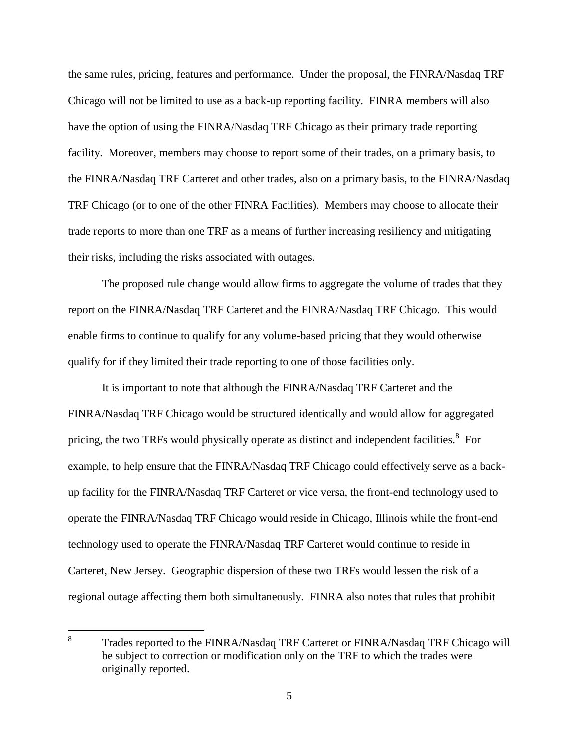the same rules, pricing, features and performance. Under the proposal, the FINRA/Nasdaq TRF Chicago will not be limited to use as a back-up reporting facility. FINRA members will also have the option of using the FINRA/Nasdaq TRF Chicago as their primary trade reporting facility. Moreover, members may choose to report some of their trades, on a primary basis, to the FINRA/Nasdaq TRF Carteret and other trades, also on a primary basis, to the FINRA/Nasdaq TRF Chicago (or to one of the other FINRA Facilities). Members may choose to allocate their trade reports to more than one TRF as a means of further increasing resiliency and mitigating their risks, including the risks associated with outages.

The proposed rule change would allow firms to aggregate the volume of trades that they report on the FINRA/Nasdaq TRF Carteret and the FINRA/Nasdaq TRF Chicago. This would enable firms to continue to qualify for any volume-based pricing that they would otherwise qualify for if they limited their trade reporting to one of those facilities only.

It is important to note that although the FINRA/Nasdaq TRF Carteret and the FINRA/Nasdaq TRF Chicago would be structured identically and would allow for aggregated pricing, the two TRFs would physically operate as distinct and independent facilities.<sup>8</sup> For example, to help ensure that the FINRA/Nasdaq TRF Chicago could effectively serve as a backup facility for the FINRA/Nasdaq TRF Carteret or vice versa, the front-end technology used to operate the FINRA/Nasdaq TRF Chicago would reside in Chicago, Illinois while the front-end technology used to operate the FINRA/Nasdaq TRF Carteret would continue to reside in Carteret, New Jersey. Geographic dispersion of these two TRFs would lessen the risk of a regional outage affecting them both simultaneously. FINRA also notes that rules that prohibit

 8 Trades reported to the FINRA/Nasdaq TRF Carteret or FINRA/Nasdaq TRF Chicago will be subject to correction or modification only on the TRF to which the trades were originally reported.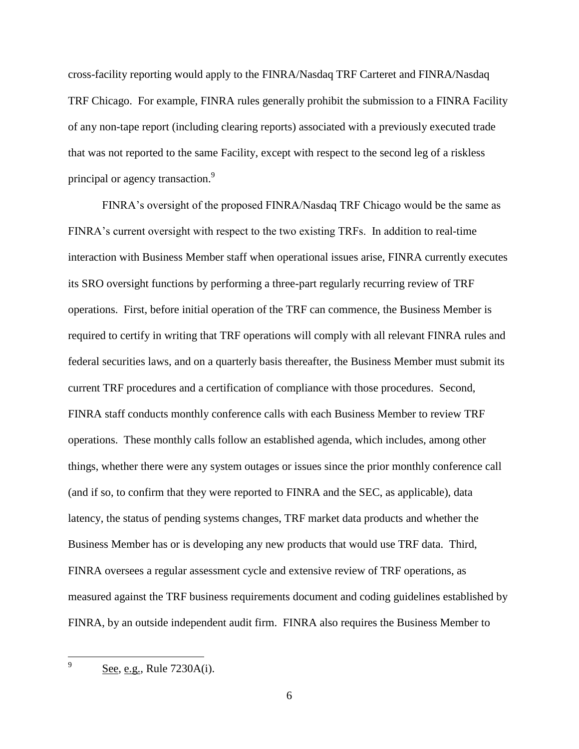cross-facility reporting would apply to the FINRA/Nasdaq TRF Carteret and FINRA/Nasdaq TRF Chicago. For example, FINRA rules generally prohibit the submission to a FINRA Facility of any non-tape report (including clearing reports) associated with a previously executed trade that was not reported to the same Facility, except with respect to the second leg of a riskless principal or agency transaction.<sup>9</sup>

FINRA's oversight of the proposed FINRA/Nasdaq TRF Chicago would be the same as FINRA's current oversight with respect to the two existing TRFs. In addition to real-time interaction with Business Member staff when operational issues arise, FINRA currently executes its SRO oversight functions by performing a three-part regularly recurring review of TRF operations. First, before initial operation of the TRF can commence, the Business Member is required to certify in writing that TRF operations will comply with all relevant FINRA rules and federal securities laws, and on a quarterly basis thereafter, the Business Member must submit its current TRF procedures and a certification of compliance with those procedures. Second, FINRA staff conducts monthly conference calls with each Business Member to review TRF operations. These monthly calls follow an established agenda, which includes, among other things, whether there were any system outages or issues since the prior monthly conference call (and if so, to confirm that they were reported to FINRA and the SEC, as applicable), data latency, the status of pending systems changes, TRF market data products and whether the Business Member has or is developing any new products that would use TRF data. Third, FINRA oversees a regular assessment cycle and extensive review of TRF operations, as measured against the TRF business requirements document and coding guidelines established by FINRA, by an outside independent audit firm. FINRA also requires the Business Member to

-<br>9

See, e.g., Rule 7230A(i).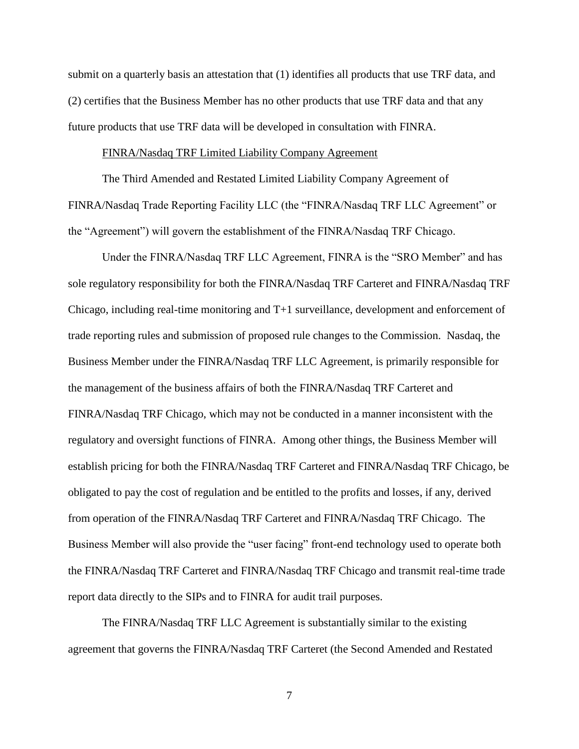submit on a quarterly basis an attestation that (1) identifies all products that use TRF data, and (2) certifies that the Business Member has no other products that use TRF data and that any future products that use TRF data will be developed in consultation with FINRA.

#### FINRA/Nasdaq TRF Limited Liability Company Agreement

The Third Amended and Restated Limited Liability Company Agreement of FINRA/Nasdaq Trade Reporting Facility LLC (the "FINRA/Nasdaq TRF LLC Agreement" or the "Agreement") will govern the establishment of the FINRA/Nasdaq TRF Chicago.

Under the FINRA/Nasdaq TRF LLC Agreement, FINRA is the "SRO Member" and has sole regulatory responsibility for both the FINRA/Nasdaq TRF Carteret and FINRA/Nasdaq TRF Chicago, including real-time monitoring and T+1 surveillance, development and enforcement of trade reporting rules and submission of proposed rule changes to the Commission. Nasdaq, the Business Member under the FINRA/Nasdaq TRF LLC Agreement, is primarily responsible for the management of the business affairs of both the FINRA/Nasdaq TRF Carteret and FINRA/Nasdaq TRF Chicago, which may not be conducted in a manner inconsistent with the regulatory and oversight functions of FINRA. Among other things, the Business Member will establish pricing for both the FINRA/Nasdaq TRF Carteret and FINRA/Nasdaq TRF Chicago, be obligated to pay the cost of regulation and be entitled to the profits and losses, if any, derived from operation of the FINRA/Nasdaq TRF Carteret and FINRA/Nasdaq TRF Chicago. The Business Member will also provide the "user facing" front-end technology used to operate both the FINRA/Nasdaq TRF Carteret and FINRA/Nasdaq TRF Chicago and transmit real-time trade report data directly to the SIPs and to FINRA for audit trail purposes.

The FINRA/Nasdaq TRF LLC Agreement is substantially similar to the existing agreement that governs the FINRA/Nasdaq TRF Carteret (the Second Amended and Restated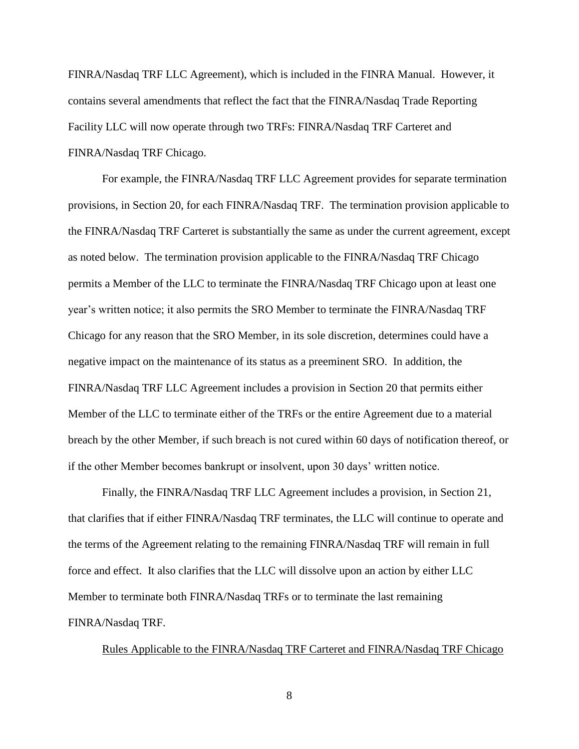FINRA/Nasdaq TRF LLC Agreement), which is included in the FINRA Manual. However, it contains several amendments that reflect the fact that the FINRA/Nasdaq Trade Reporting Facility LLC will now operate through two TRFs: FINRA/Nasdaq TRF Carteret and FINRA/Nasdaq TRF Chicago.

For example, the FINRA/Nasdaq TRF LLC Agreement provides for separate termination provisions, in Section 20, for each FINRA/Nasdaq TRF. The termination provision applicable to the FINRA/Nasdaq TRF Carteret is substantially the same as under the current agreement, except as noted below. The termination provision applicable to the FINRA/Nasdaq TRF Chicago permits a Member of the LLC to terminate the FINRA/Nasdaq TRF Chicago upon at least one year's written notice; it also permits the SRO Member to terminate the FINRA/Nasdaq TRF Chicago for any reason that the SRO Member, in its sole discretion, determines could have a negative impact on the maintenance of its status as a preeminent SRO. In addition, the FINRA/Nasdaq TRF LLC Agreement includes a provision in Section 20 that permits either Member of the LLC to terminate either of the TRFs or the entire Agreement due to a material breach by the other Member, if such breach is not cured within 60 days of notification thereof, or if the other Member becomes bankrupt or insolvent, upon 30 days' written notice.

Finally, the FINRA/Nasdaq TRF LLC Agreement includes a provision, in Section 21, that clarifies that if either FINRA/Nasdaq TRF terminates, the LLC will continue to operate and the terms of the Agreement relating to the remaining FINRA/Nasdaq TRF will remain in full force and effect. It also clarifies that the LLC will dissolve upon an action by either LLC Member to terminate both FINRA/Nasdaq TRFs or to terminate the last remaining FINRA/Nasdaq TRF.

Rules Applicable to the FINRA/Nasdaq TRF Carteret and FINRA/Nasdaq TRF Chicago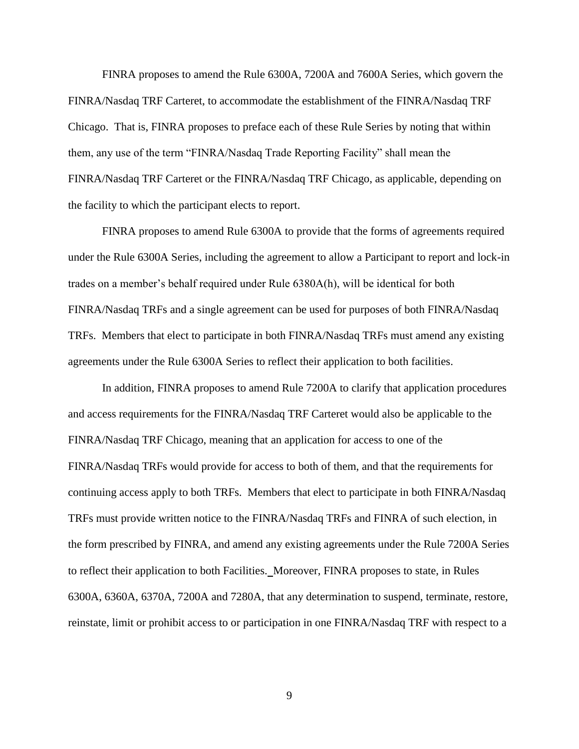FINRA proposes to amend the Rule 6300A, 7200A and 7600A Series, which govern the FINRA/Nasdaq TRF Carteret, to accommodate the establishment of the FINRA/Nasdaq TRF Chicago. That is, FINRA proposes to preface each of these Rule Series by noting that within them, any use of the term "FINRA/Nasdaq Trade Reporting Facility" shall mean the FINRA/Nasdaq TRF Carteret or the FINRA/Nasdaq TRF Chicago, as applicable, depending on the facility to which the participant elects to report.

FINRA proposes to amend Rule 6300A to provide that the forms of agreements required under the Rule 6300A Series, including the agreement to allow a Participant to report and lock-in trades on a member's behalf required under Rule 6380A(h), will be identical for both FINRA/Nasdaq TRFs and a single agreement can be used for purposes of both FINRA/Nasdaq TRFs. Members that elect to participate in both FINRA/Nasdaq TRFs must amend any existing agreements under the Rule 6300A Series to reflect their application to both facilities.

In addition, FINRA proposes to amend Rule 7200A to clarify that application procedures and access requirements for the FINRA/Nasdaq TRF Carteret would also be applicable to the FINRA/Nasdaq TRF Chicago, meaning that an application for access to one of the FINRA/Nasdaq TRFs would provide for access to both of them, and that the requirements for continuing access apply to both TRFs. Members that elect to participate in both FINRA/Nasdaq TRFs must provide written notice to the FINRA/Nasdaq TRFs and FINRA of such election, in the form prescribed by FINRA, and amend any existing agreements under the Rule 7200A Series to reflect their application to both Facilities.Moreover, FINRA proposes to state, in Rules 6300A, 6360A, 6370A, 7200A and 7280A, that any determination to suspend, terminate, restore, reinstate, limit or prohibit access to or participation in one FINRA/Nasdaq TRF with respect to a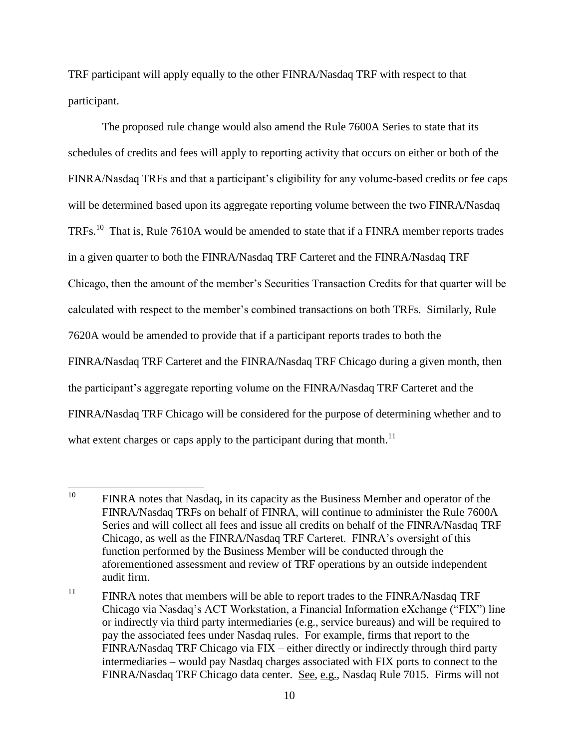TRF participant will apply equally to the other FINRA/Nasdaq TRF with respect to that participant.

The proposed rule change would also amend the Rule 7600A Series to state that its schedules of credits and fees will apply to reporting activity that occurs on either or both of the FINRA/Nasdaq TRFs and that a participant's eligibility for any volume-based credits or fee caps will be determined based upon its aggregate reporting volume between the two FINRA/Nasdaq TRFs.<sup>10</sup> That is, Rule 7610A would be amended to state that if a FINRA member reports trades in a given quarter to both the FINRA/Nasdaq TRF Carteret and the FINRA/Nasdaq TRF Chicago, then the amount of the member's Securities Transaction Credits for that quarter will be calculated with respect to the member's combined transactions on both TRFs. Similarly, Rule 7620A would be amended to provide that if a participant reports trades to both the FINRA/Nasdaq TRF Carteret and the FINRA/Nasdaq TRF Chicago during a given month, then the participant's aggregate reporting volume on the FINRA/Nasdaq TRF Carteret and the FINRA/Nasdaq TRF Chicago will be considered for the purpose of determining whether and to what extent charges or caps apply to the participant during that month.<sup>11</sup>

<sup>10</sup> FINRA notes that Nasdaq, in its capacity as the Business Member and operator of the FINRA/Nasdaq TRFs on behalf of FINRA, will continue to administer the Rule 7600A Series and will collect all fees and issue all credits on behalf of the FINRA/Nasdaq TRF Chicago, as well as the FINRA/Nasdaq TRF Carteret. FINRA's oversight of this function performed by the Business Member will be conducted through the aforementioned assessment and review of TRF operations by an outside independent audit firm.

<sup>&</sup>lt;sup>11</sup> FINRA notes that members will be able to report trades to the FINRA/Nasdaq TRF Chicago via Nasdaq's ACT Workstation, a Financial Information eXchange ("FIX") line or indirectly via third party intermediaries (e.g., service bureaus) and will be required to pay the associated fees under Nasdaq rules. For example, firms that report to the FINRA/Nasdaq TRF Chicago via FIX – either directly or indirectly through third party intermediaries – would pay Nasdaq charges associated with FIX ports to connect to the FINRA/Nasdaq TRF Chicago data center. See, e.g., Nasdaq Rule 7015. Firms will not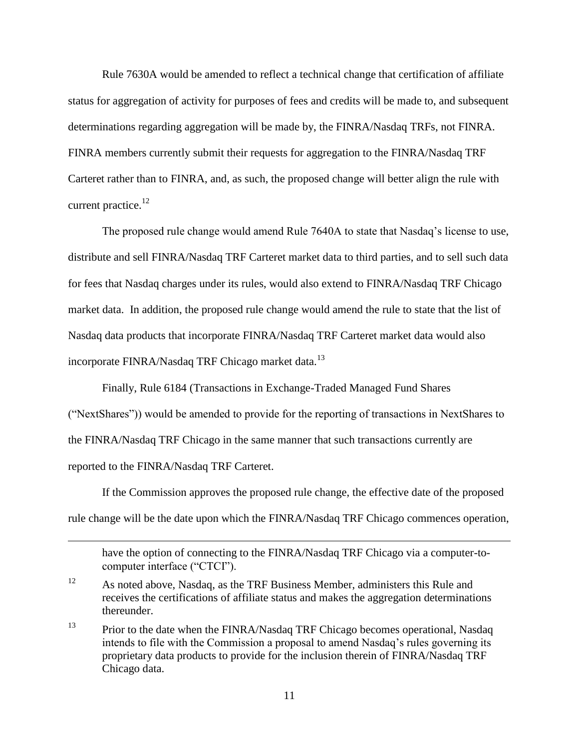Rule 7630A would be amended to reflect a technical change that certification of affiliate status for aggregation of activity for purposes of fees and credits will be made to, and subsequent determinations regarding aggregation will be made by, the FINRA/Nasdaq TRFs, not FINRA. FINRA members currently submit their requests for aggregation to the FINRA/Nasdaq TRF Carteret rather than to FINRA, and, as such, the proposed change will better align the rule with current practice. $^{12}$ 

The proposed rule change would amend Rule 7640A to state that Nasdaq's license to use, distribute and sell FINRA/Nasdaq TRF Carteret market data to third parties, and to sell such data for fees that Nasdaq charges under its rules, would also extend to FINRA/Nasdaq TRF Chicago market data. In addition, the proposed rule change would amend the rule to state that the list of Nasdaq data products that incorporate FINRA/Nasdaq TRF Carteret market data would also incorporate FINRA/Nasdaq TRF Chicago market data.<sup>13</sup>

Finally, Rule 6184 (Transactions in Exchange-Traded Managed Fund Shares

("NextShares")) would be amended to provide for the reporting of transactions in NextShares to the FINRA/Nasdaq TRF Chicago in the same manner that such transactions currently are reported to the FINRA/Nasdaq TRF Carteret.

If the Commission approves the proposed rule change, the effective date of the proposed rule change will be the date upon which the FINRA/Nasdaq TRF Chicago commences operation,

have the option of connecting to the FINRA/Nasdaq TRF Chicago via a computer-tocomputer interface ("CTCI").

 $\overline{a}$ 

<sup>&</sup>lt;sup>12</sup> As noted above, Nasdaq, as the TRF Business Member, administers this Rule and receives the certifications of affiliate status and makes the aggregation determinations thereunder.

<sup>&</sup>lt;sup>13</sup> Prior to the date when the FINRA/Nasdaq TRF Chicago becomes operational, Nasdaq intends to file with the Commission a proposal to amend Nasdaq's rules governing its proprietary data products to provide for the inclusion therein of FINRA/Nasdaq TRF Chicago data.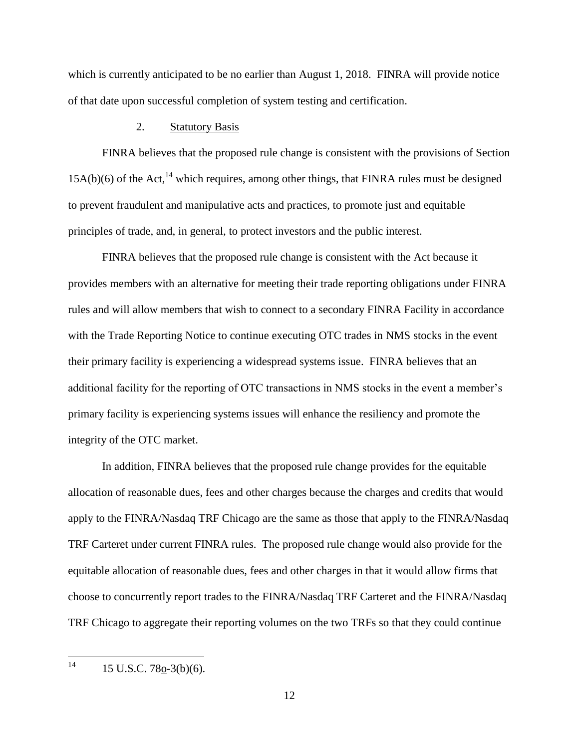which is currently anticipated to be no earlier than August 1, 2018. FINRA will provide notice of that date upon successful completion of system testing and certification.

## 2. Statutory Basis

FINRA believes that the proposed rule change is consistent with the provisions of Section  $15A(b)(6)$  of the Act,<sup>14</sup> which requires, among other things, that FINRA rules must be designed to prevent fraudulent and manipulative acts and practices, to promote just and equitable principles of trade, and, in general, to protect investors and the public interest.

FINRA believes that the proposed rule change is consistent with the Act because it provides members with an alternative for meeting their trade reporting obligations under FINRA rules and will allow members that wish to connect to a secondary FINRA Facility in accordance with the Trade Reporting Notice to continue executing OTC trades in NMS stocks in the event their primary facility is experiencing a widespread systems issue. FINRA believes that an additional facility for the reporting of OTC transactions in NMS stocks in the event a member's primary facility is experiencing systems issues will enhance the resiliency and promote the integrity of the OTC market.

In addition, FINRA believes that the proposed rule change provides for the equitable allocation of reasonable dues, fees and other charges because the charges and credits that would apply to the FINRA/Nasdaq TRF Chicago are the same as those that apply to the FINRA/Nasdaq TRF Carteret under current FINRA rules. The proposed rule change would also provide for the equitable allocation of reasonable dues, fees and other charges in that it would allow firms that choose to concurrently report trades to the FINRA/Nasdaq TRF Carteret and the FINRA/Nasdaq TRF Chicago to aggregate their reporting volumes on the two TRFs so that they could continue

 $14$ 15 U.S.C. 78o-3(b)(6).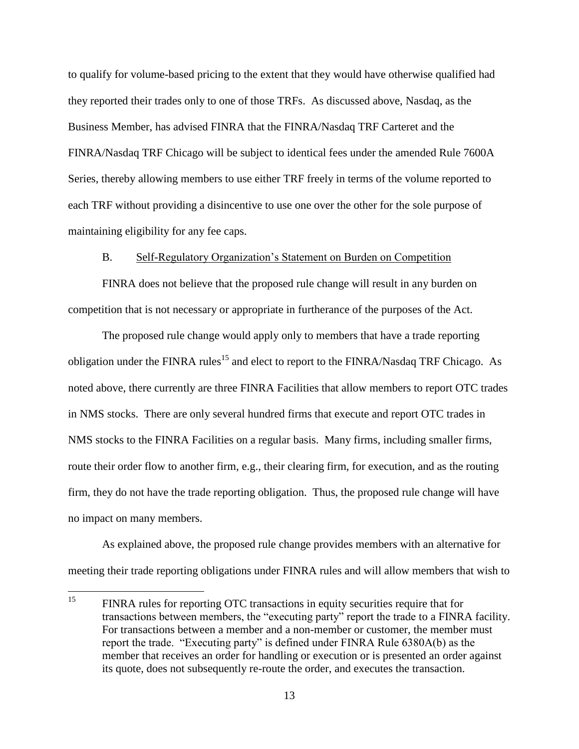to qualify for volume-based pricing to the extent that they would have otherwise qualified had they reported their trades only to one of those TRFs. As discussed above, Nasdaq, as the Business Member, has advised FINRA that the FINRA/Nasdaq TRF Carteret and the FINRA/Nasdaq TRF Chicago will be subject to identical fees under the amended Rule 7600A Series, thereby allowing members to use either TRF freely in terms of the volume reported to each TRF without providing a disincentive to use one over the other for the sole purpose of maintaining eligibility for any fee caps.

### B. Self-Regulatory Organization's Statement on Burden on Competition

FINRA does not believe that the proposed rule change will result in any burden on competition that is not necessary or appropriate in furtherance of the purposes of the Act.

The proposed rule change would apply only to members that have a trade reporting obligation under the FINRA rules<sup>15</sup> and elect to report to the FINRA/Nasdaq TRF Chicago. As noted above, there currently are three FINRA Facilities that allow members to report OTC trades in NMS stocks. There are only several hundred firms that execute and report OTC trades in NMS stocks to the FINRA Facilities on a regular basis. Many firms, including smaller firms, route their order flow to another firm, e.g., their clearing firm, for execution, and as the routing firm, they do not have the trade reporting obligation. Thus, the proposed rule change will have no impact on many members.

As explained above, the proposed rule change provides members with an alternative for meeting their trade reporting obligations under FINRA rules and will allow members that wish to

<sup>15</sup> FINRA rules for reporting OTC transactions in equity securities require that for transactions between members, the "executing party" report the trade to a FINRA facility. For transactions between a member and a non-member or customer, the member must report the trade. "Executing party" is defined under FINRA Rule 6380A(b) as the member that receives an order for handling or execution or is presented an order against its quote, does not subsequently re-route the order, and executes the transaction.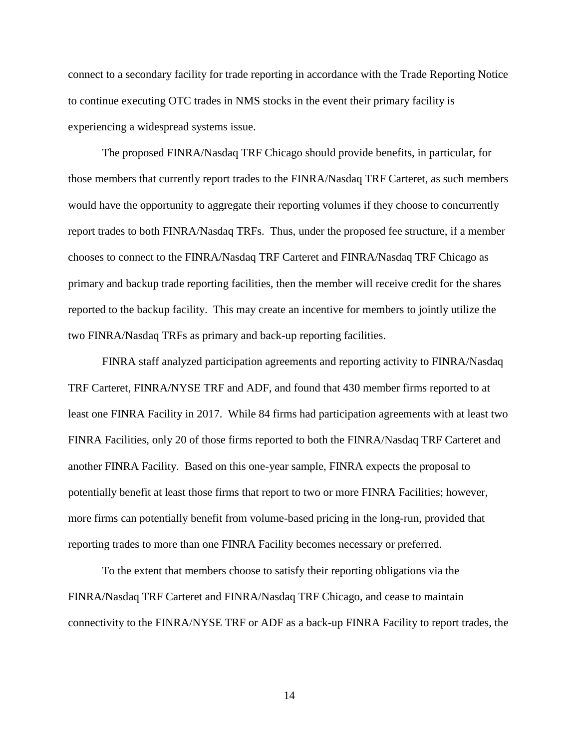connect to a secondary facility for trade reporting in accordance with the Trade Reporting Notice to continue executing OTC trades in NMS stocks in the event their primary facility is experiencing a widespread systems issue.

The proposed FINRA/Nasdaq TRF Chicago should provide benefits, in particular, for those members that currently report trades to the FINRA/Nasdaq TRF Carteret, as such members would have the opportunity to aggregate their reporting volumes if they choose to concurrently report trades to both FINRA/Nasdaq TRFs. Thus, under the proposed fee structure, if a member chooses to connect to the FINRA/Nasdaq TRF Carteret and FINRA/Nasdaq TRF Chicago as primary and backup trade reporting facilities, then the member will receive credit for the shares reported to the backup facility. This may create an incentive for members to jointly utilize the two FINRA/Nasdaq TRFs as primary and back-up reporting facilities.

FINRA staff analyzed participation agreements and reporting activity to FINRA/Nasdaq TRF Carteret, FINRA/NYSE TRF and ADF, and found that 430 member firms reported to at least one FINRA Facility in 2017. While 84 firms had participation agreements with at least two FINRA Facilities, only 20 of those firms reported to both the FINRA/Nasdaq TRF Carteret and another FINRA Facility. Based on this one-year sample, FINRA expects the proposal to potentially benefit at least those firms that report to two or more FINRA Facilities; however, more firms can potentially benefit from volume-based pricing in the long-run, provided that reporting trades to more than one FINRA Facility becomes necessary or preferred.

To the extent that members choose to satisfy their reporting obligations via the FINRA/Nasdaq TRF Carteret and FINRA/Nasdaq TRF Chicago, and cease to maintain connectivity to the FINRA/NYSE TRF or ADF as a back-up FINRA Facility to report trades, the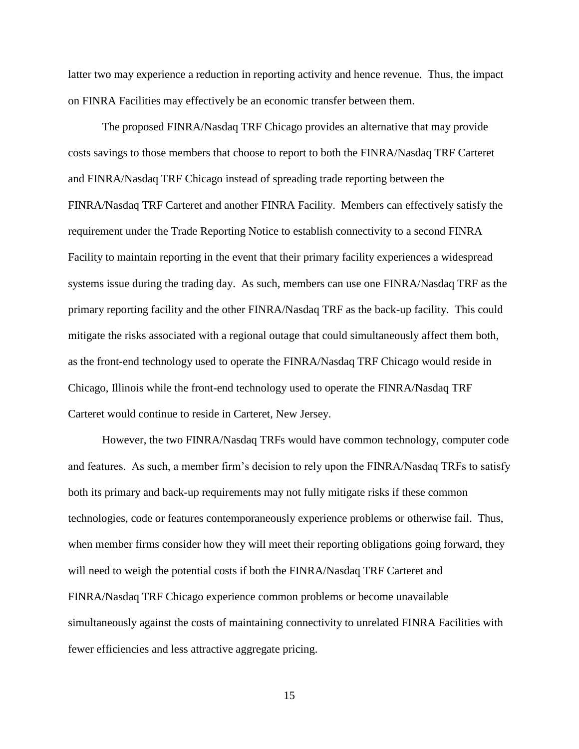latter two may experience a reduction in reporting activity and hence revenue. Thus, the impact on FINRA Facilities may effectively be an economic transfer between them.

The proposed FINRA/Nasdaq TRF Chicago provides an alternative that may provide costs savings to those members that choose to report to both the FINRA/Nasdaq TRF Carteret and FINRA/Nasdaq TRF Chicago instead of spreading trade reporting between the FINRA/Nasdaq TRF Carteret and another FINRA Facility. Members can effectively satisfy the requirement under the Trade Reporting Notice to establish connectivity to a second FINRA Facility to maintain reporting in the event that their primary facility experiences a widespread systems issue during the trading day. As such, members can use one FINRA/Nasdaq TRF as the primary reporting facility and the other FINRA/Nasdaq TRF as the back-up facility. This could mitigate the risks associated with a regional outage that could simultaneously affect them both, as the front-end technology used to operate the FINRA/Nasdaq TRF Chicago would reside in Chicago, Illinois while the front-end technology used to operate the FINRA/Nasdaq TRF Carteret would continue to reside in Carteret, New Jersey.

However, the two FINRA/Nasdaq TRFs would have common technology, computer code and features. As such, a member firm's decision to rely upon the FINRA/Nasdaq TRFs to satisfy both its primary and back-up requirements may not fully mitigate risks if these common technologies, code or features contemporaneously experience problems or otherwise fail. Thus, when member firms consider how they will meet their reporting obligations going forward, they will need to weigh the potential costs if both the FINRA/Nasdaq TRF Carteret and FINRA/Nasdaq TRF Chicago experience common problems or become unavailable simultaneously against the costs of maintaining connectivity to unrelated FINRA Facilities with fewer efficiencies and less attractive aggregate pricing.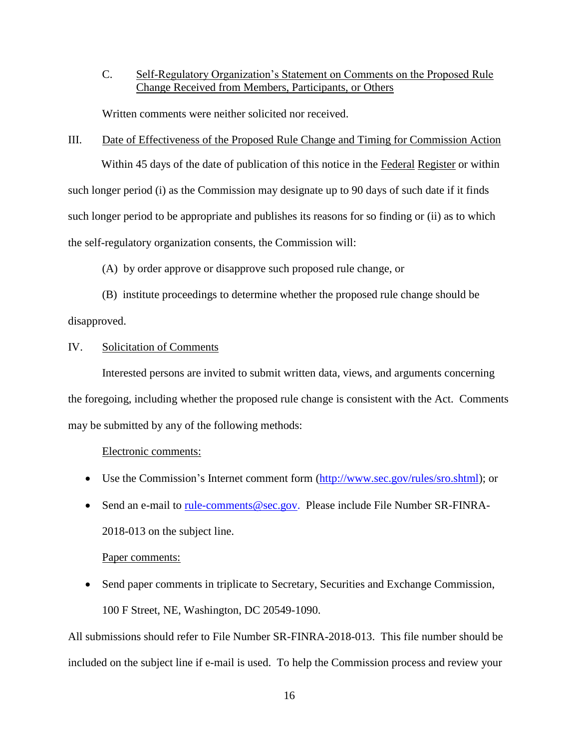C. Self-Regulatory Organization's Statement on Comments on the Proposed Rule Change Received from Members, Participants, or Others

Written comments were neither solicited nor received.

### III. Date of Effectiveness of the Proposed Rule Change and Timing for Commission Action

Within 45 days of the date of publication of this notice in the Federal Register or within such longer period (i) as the Commission may designate up to 90 days of such date if it finds such longer period to be appropriate and publishes its reasons for so finding or (ii) as to which the self-regulatory organization consents, the Commission will:

(A) by order approve or disapprove such proposed rule change, or

(B) institute proceedings to determine whether the proposed rule change should be disapproved.

### IV. Solicitation of Comments

Interested persons are invited to submit written data, views, and arguments concerning the foregoing, including whether the proposed rule change is consistent with the Act. Comments may be submitted by any of the following methods:

#### Electronic comments:

- Use the Commission's Internet comment form [\(http://www.sec.gov/rules/sro.shtml\)](http://www.sec.gov/rules/sro.shtml); or
- Send an e-mail to [rule-comments@sec.gov.](mailto:rule-comments@sec.gov) Please include File Number SR-FINRA-2018-013 on the subject line.

#### Paper comments:

 Send paper comments in triplicate to Secretary, Securities and Exchange Commission, 100 F Street, NE, Washington, DC 20549-1090.

All submissions should refer to File Number SR-FINRA-2018-013. This file number should be included on the subject line if e-mail is used. To help the Commission process and review your